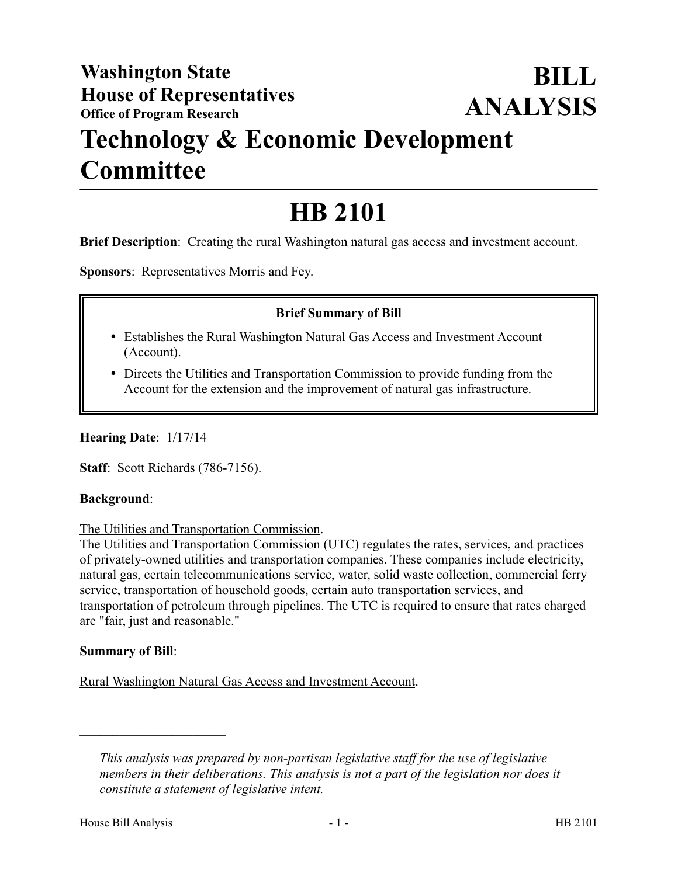## **Technology & Economic Development Committee**

# **HB 2101**

**Brief Description**: Creating the rural Washington natural gas access and investment account.

**Sponsors**: Representatives Morris and Fey.

## **Brief Summary of Bill**

- Establishes the Rural Washington Natural Gas Access and Investment Account (Account).
- Directs the Utilities and Transportation Commission to provide funding from the Account for the extension and the improvement of natural gas infrastructure.

**Hearing Date**: 1/17/14

**Staff**: Scott Richards (786-7156).

#### **Background**:

#### The Utilities and Transportation Commission.

The Utilities and Transportation Commission (UTC) regulates the rates, services, and practices of privately-owned utilities and transportation companies. These companies include electricity, natural gas, certain telecommunications service, water, solid waste collection, commercial ferry service, transportation of household goods, certain auto transportation services, and transportation of petroleum through pipelines. The UTC is required to ensure that rates charged are "fair, just and reasonable."

#### **Summary of Bill**:

––––––––––––––––––––––

Rural Washington Natural Gas Access and Investment Account.

*This analysis was prepared by non-partisan legislative staff for the use of legislative members in their deliberations. This analysis is not a part of the legislation nor does it constitute a statement of legislative intent.*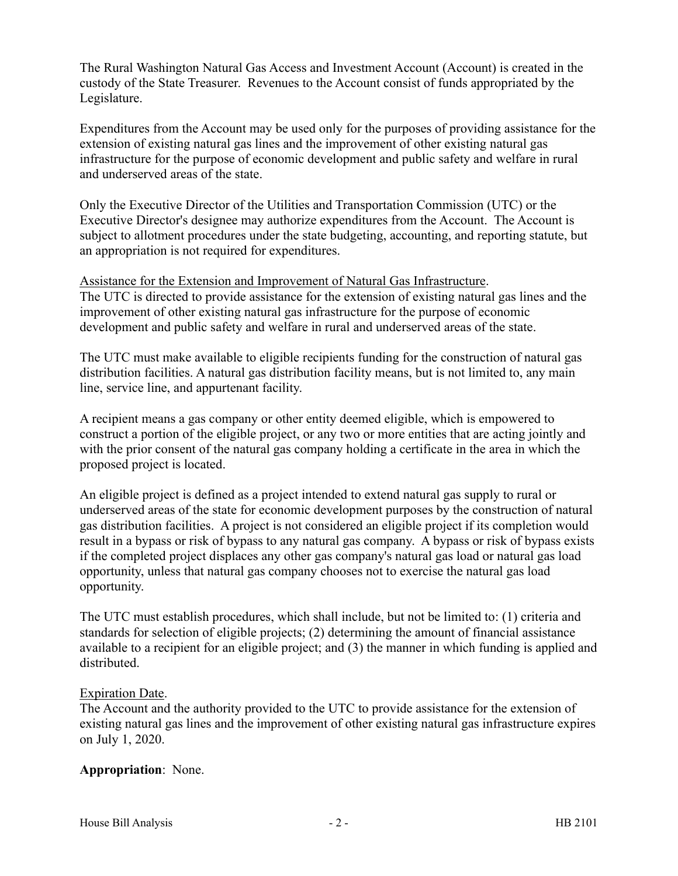The Rural Washington Natural Gas Access and Investment Account (Account) is created in the custody of the State Treasurer. Revenues to the Account consist of funds appropriated by the Legislature.

Expenditures from the Account may be used only for the purposes of providing assistance for the extension of existing natural gas lines and the improvement of other existing natural gas infrastructure for the purpose of economic development and public safety and welfare in rural and underserved areas of the state.

Only the Executive Director of the Utilities and Transportation Commission (UTC) or the Executive Director's designee may authorize expenditures from the Account. The Account is subject to allotment procedures under the state budgeting, accounting, and reporting statute, but an appropriation is not required for expenditures.

Assistance for the Extension and Improvement of Natural Gas Infrastructure.

The UTC is directed to provide assistance for the extension of existing natural gas lines and the improvement of other existing natural gas infrastructure for the purpose of economic development and public safety and welfare in rural and underserved areas of the state.

The UTC must make available to eligible recipients funding for the construction of natural gas distribution facilities. A natural gas distribution facility means, but is not limited to, any main line, service line, and appurtenant facility.

A recipient means a gas company or other entity deemed eligible, which is empowered to construct a portion of the eligible project, or any two or more entities that are acting jointly and with the prior consent of the natural gas company holding a certificate in the area in which the proposed project is located.

An eligible project is defined as a project intended to extend natural gas supply to rural or underserved areas of the state for economic development purposes by the construction of natural gas distribution facilities. A project is not considered an eligible project if its completion would result in a bypass or risk of bypass to any natural gas company. A bypass or risk of bypass exists if the completed project displaces any other gas company's natural gas load or natural gas load opportunity, unless that natural gas company chooses not to exercise the natural gas load opportunity.

The UTC must establish procedures, which shall include, but not be limited to: (1) criteria and standards for selection of eligible projects; (2) determining the amount of financial assistance available to a recipient for an eligible project; and (3) the manner in which funding is applied and distributed.

## Expiration Date.

The Account and the authority provided to the UTC to provide assistance for the extension of existing natural gas lines and the improvement of other existing natural gas infrastructure expires on July 1, 2020.

## **Appropriation**: None.